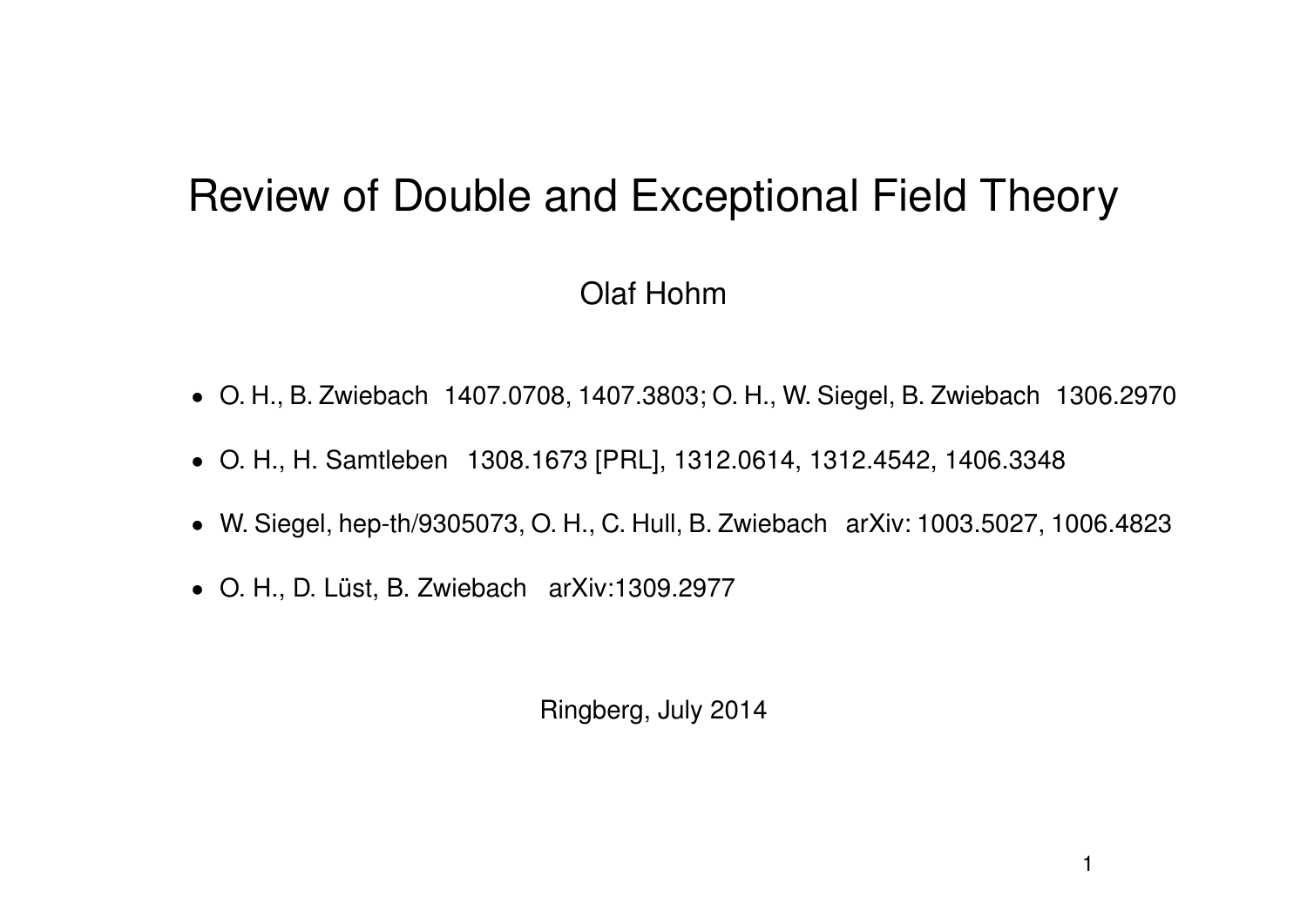# Review of Double and Exceptional Field Theory

#### Olaf Hohm

- ' O. H., B. Zwiebach 1407.0708, 1407.3803; O. H., W. Siegel, B. Zwiebach 1306.2970
- ' O. H., H. Samtleben 1308.1673 [PRL], 1312.0614, 1312.4542, 1406.3348
- ' W. Siegel, hep-th/9305073, O. H., C. Hull, B. Zwiebach arXiv: 1003.5027, 1006.4823
- O. H., D. Lüst, B. Zwiebach arXiv:1309.2977

Ringberg, July 2014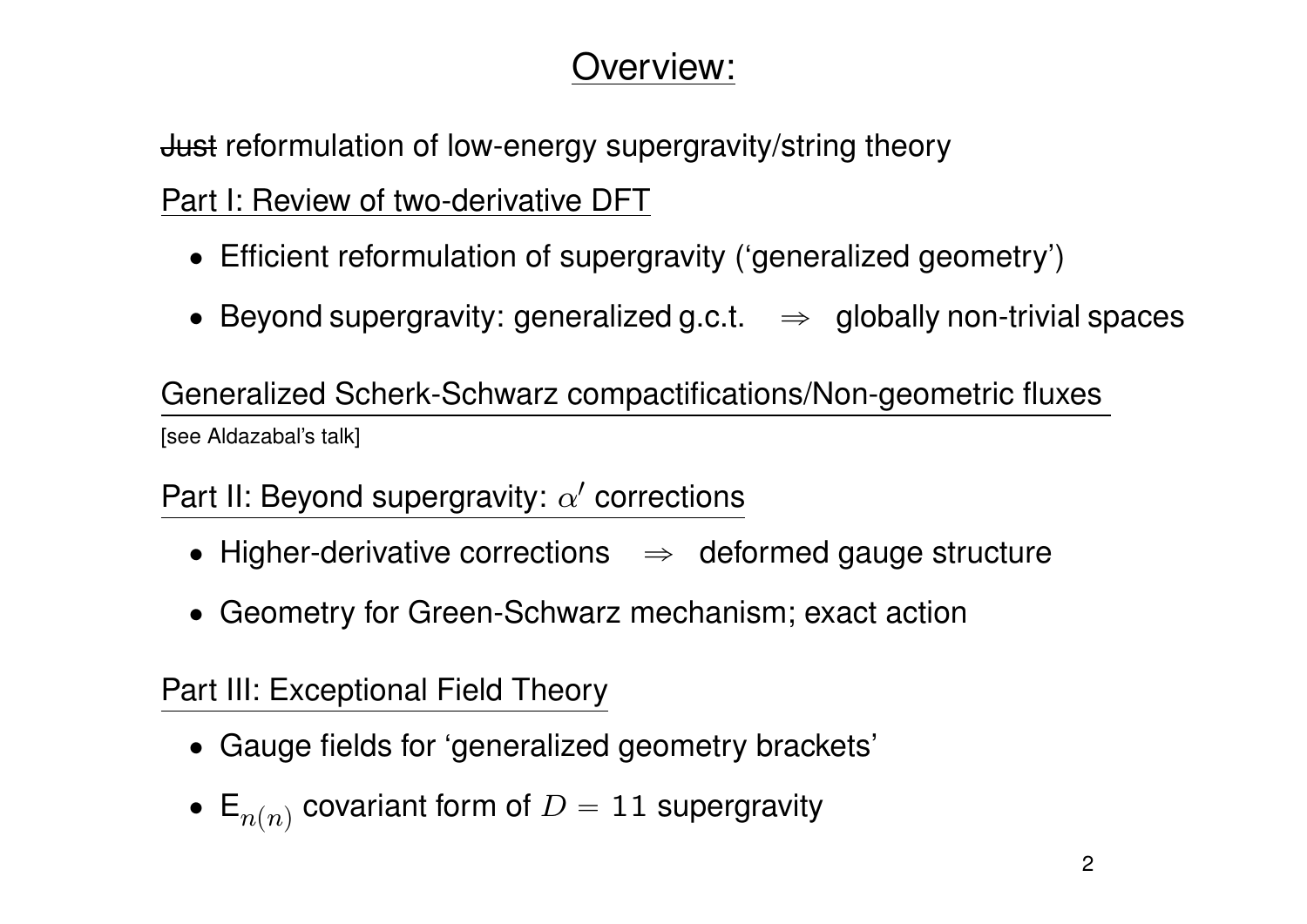### Overview:

**Just reformulation of low-energy supergravity/string theory** 

Part I: Review of two-derivative DFT

- Efficient reformulation of supergravity ('generalized geometry')
- Beyond supergravity: generalized g.c.t.  $\Rightarrow$  globally non-trivial spaces

Generalized Scherk-Schwarz compactifications/Non-geometric fluxes [see Aldazabal's talk]

Part II: Beyond supergravity:  $\alpha'$  corrections

- $\bullet$  Higher-derivative corrections  $\Rightarrow$  deformed gauge structure
- Geometry for Green-Schwarz mechanism; exact action

Part III: Exceptional Field Theory

- ' Gauge fields for 'generalized geometry brackets'
- $\bullet\ \mathsf{E}_{n(n)}$  covariant form of  $D=11$  supergravity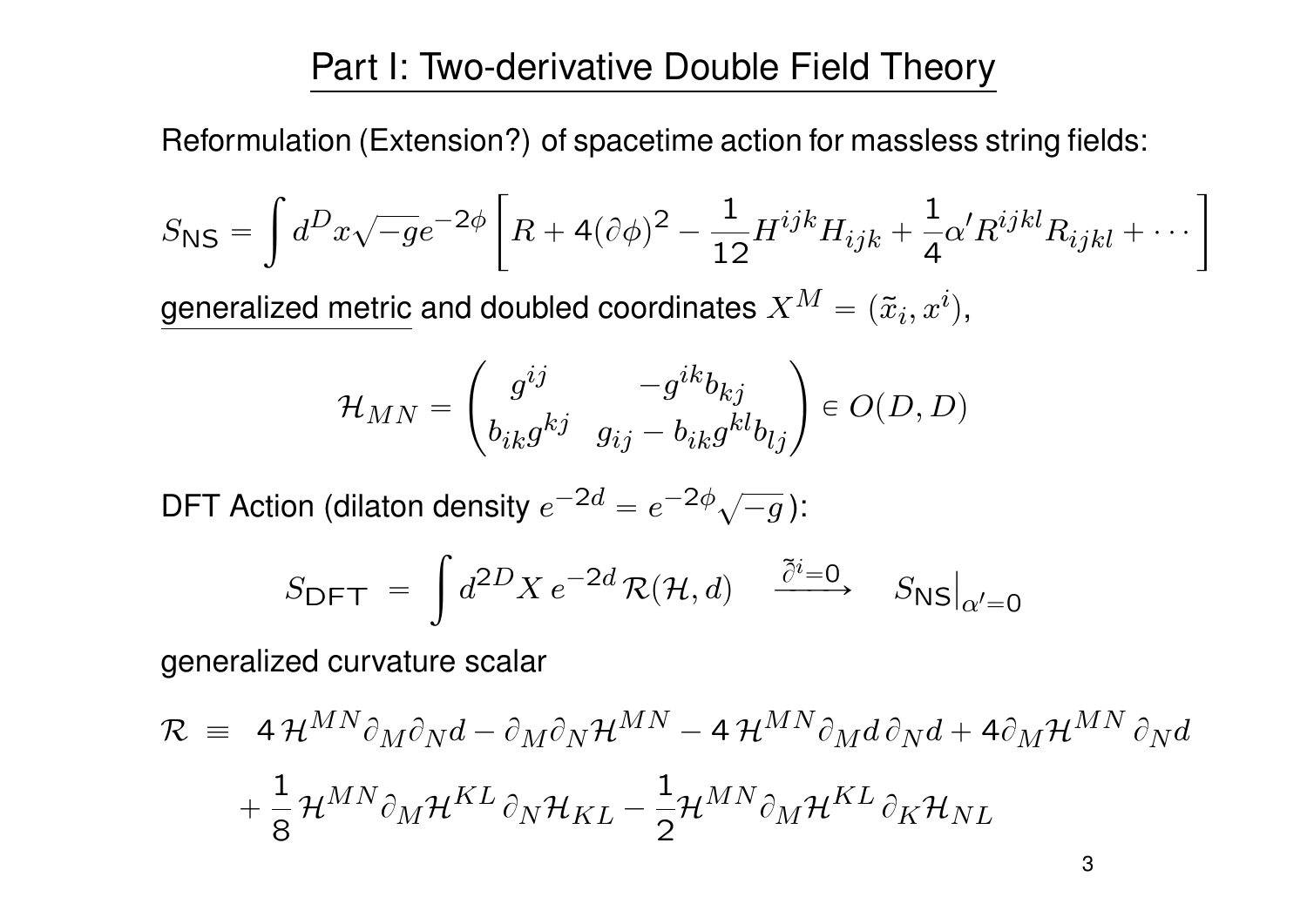### Part I: Two-derivative Double Field Theory

Reformulation (Extension?) of spacetime action for massless string fields:

$$
S_{\rm NS} = \int d^D x \sqrt{-g} e^{-2\phi} \left[ R + 4(\partial \phi)^2 - \frac{1}{12} H^{ijk} H_{ijk} + \frac{1}{4} \alpha' R^{ijkl} R_{ijkl} + \cdots \right]
$$

generalized metric and doubled coordinates  $X^M = (\tilde{x}_i, x^i),$ 

$$
\mathcal{H}_{MN} = \begin{pmatrix} g^{ij} & -g^{ik}b_{kj} \\ b_{ik}g^{kj} & g_{ij} - b_{ik}g^{kl}b_{lj} \end{pmatrix} \in O(D,D)
$$

DFT Action (dilaton density  $e^{-2d} = e^{-2\phi}\sqrt{2d}$  $\overline{-g}$  ): za za politika za politika za politika za politika za politika za politika za politika za politika za politika<br>Za politika za politika za politika za politika za politika za politika za politika za politika za politika za

$$
S_{\text{DFT}} = \int d^{2D}X \, e^{-2d} \, \mathcal{R}(\mathcal{H}, d) \quad \stackrel{\tilde{\partial}^i = 0}{\longrightarrow} \quad S_{\text{NS}}|_{\alpha' = 0}
$$

generalized curvature scalar

$$
\mathcal{R} = 4 \mathcal{H}^{MN} \partial_M \partial_N d - \partial_M \partial_N \mathcal{H}^{MN} - 4 \mathcal{H}^{MN} \partial_M d \partial_N d + 4 \partial_M \mathcal{H}^{MN} \partial_N d
$$

$$
+ \frac{1}{8} \mathcal{H}^{MN} \partial_M \mathcal{H}^{KL} \partial_N \mathcal{H}_{KL} - \frac{1}{2} \mathcal{H}^{MN} \partial_M \mathcal{H}^{KL} \partial_K \mathcal{H}_{NL}
$$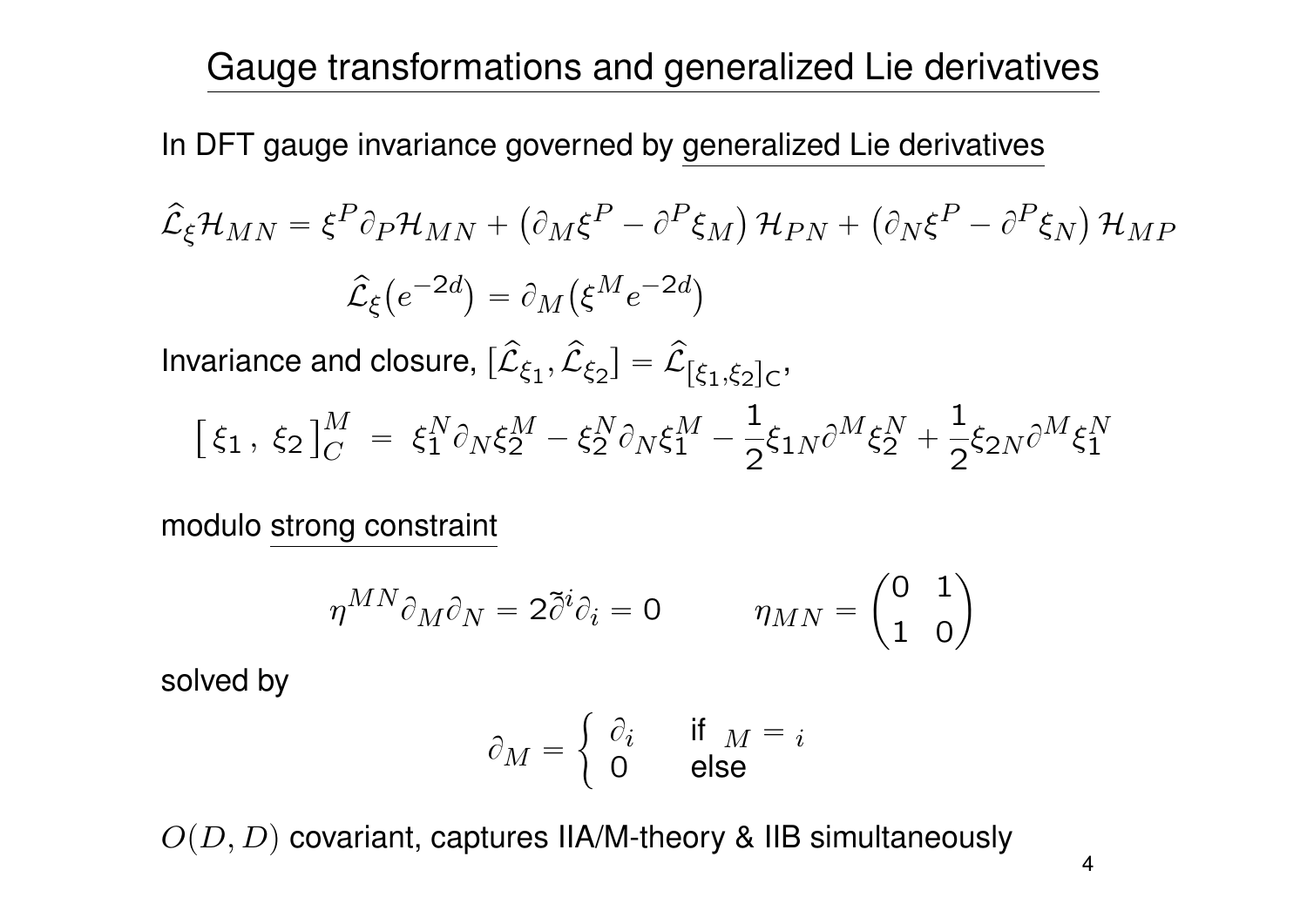Gauge transformations and generalized Lie derivatives

In DFT gauge invariance governed by generalized Lie derivatives

$$
\hat{\mathcal{L}}_{\xi} \mathcal{H}_{MN} = \xi^{P} \partial_{P} \mathcal{H}_{MN} + (\partial_{M} \xi^{P} - \partial^{P} \xi_{M}) \mathcal{H}_{PN} + (\partial_{N} \xi^{P} - \partial^{P} \xi_{N}) \mathcal{H}_{MP}
$$

$$
\hat{\mathcal{L}}_{\xi} (e^{-2d}) = \partial_{M} (\xi^{M} e^{-2d})
$$

Invariance and closure,  $[\hat{\mathcal{L}}_{\xi_1}, \hat{\mathcal{L}}_{\xi_2}] = \hat{\mathcal{L}}_{[\xi_1, \xi_2]_C}$ ,

$$
\left[\,\xi_1\,,\;\xi_2\,\right]^M_C\;=\;\xi_1^N\partial_N\xi_2^M-\xi_2^N\partial_N\xi_1^M-\frac{1}{2}\xi_{1N}\partial^M\xi_2^N+\frac{1}{2}\xi_{2N}\partial^M\xi_1^N
$$

modulo strong constraint

$$
\overline{\eta^{MN}} \partial_M \partial_N = 2 \tilde{\partial}^i \partial_i = 0 \qquad \eta_{MN} = \begin{pmatrix} 0 & 1 \\ 1 & 0 \end{pmatrix}
$$

solved by

$$
\partial_M = \begin{cases} \partial_i & \text{if } M = i \\ 0 & \text{else} \end{cases}
$$

 $O(D, D)$  covariant, captures IIA/M-theory & IIB simultaneously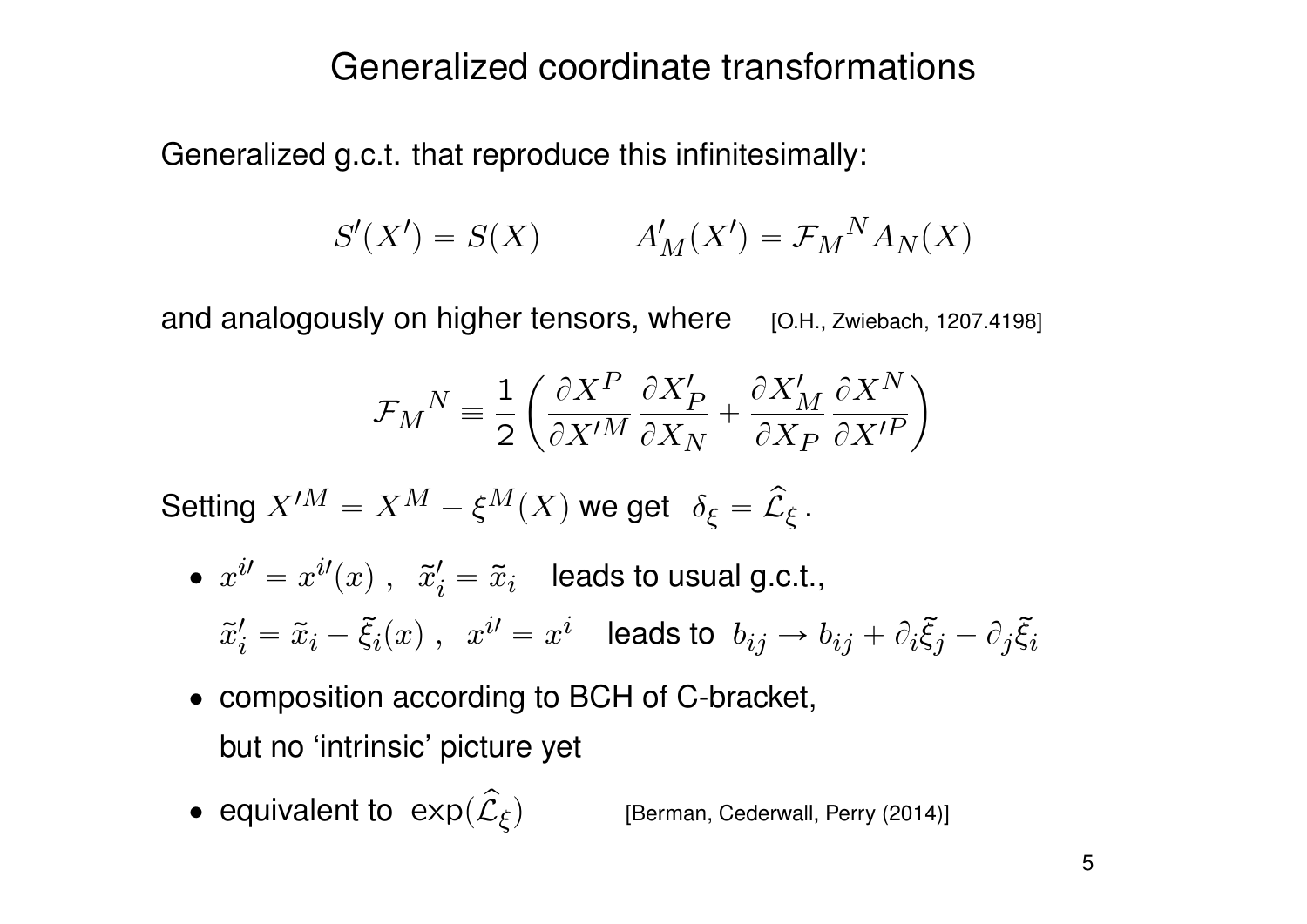#### Generalized coordinate transformations

Generalized g.c.t. that reproduce this infinitesimally:

$$
S'(X') = S(X) \qquad A'_M(X') = \mathcal{F}_M{}^N A_N(X)
$$

and analogously on higher tensors, where [O.H., Zwiebach, 1207.4198]

$$
\mathcal{F}_M{}^N \equiv \frac{1}{2} \left( \frac{\partial X^P}{\partial X'^M} \frac{\partial X'_P}{\partial X_N} + \frac{\partial X'_M}{\partial X_P} \frac{\partial X^N}{\partial X'^P} \right)
$$

Setting  $X'^M = X^M - \xi^M(X)$  we get  $\delta_{\xi} = \widehat{\mathcal{L}}_{\xi}$ .

$$
\begin{array}{ll}\bullet\;\;x^{i\prime}=x^{i\prime}(x)\;,\;\;\widetilde{x}_{i}^{\prime}=\widetilde{x}_{i} & \text{leads to usual g.c.t.},\\[3mm] \widetilde{x}_{i}^{\prime}=\widetilde{x}_{i}-\widetilde{\xi}_{i}(x)\;,\;\;x^{i\prime}=x^{i} & \text{leads to}\;\; b_{ij}\rightarrow b_{ij}+\partial_{i}\widetilde{\xi}_{j}-\partial_{j}\widetilde{\xi}_{i}\end{array}
$$

- composition according to BCH of C-bracket, but no 'intrinsic' picture yet
- equivalent to  $\exp(\widehat{\mathcal{L}}_{\xi})$ [Berman, Cederwall, Perry (2014)]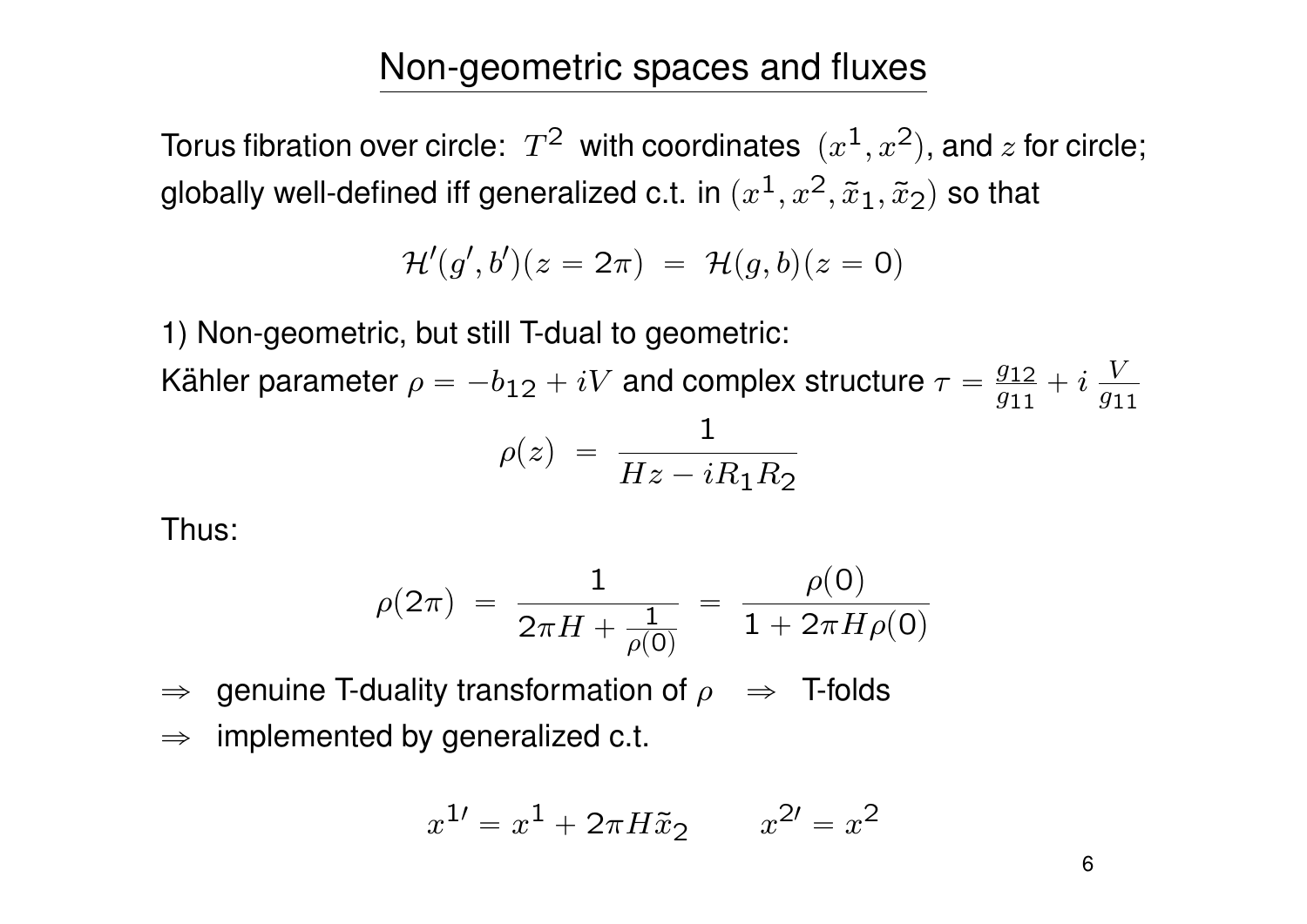### Non-geometric spaces and fluxes

Torus fibration over circle:  $\, T^2 \,$  with coordinates  $\, (x^1,x^2),$  and  $z$  for circle; globally well-defined iff generalized c.t. in  $(x^1,x^2,\tilde{x}_1,\tilde{x}_2)$  so that

$$
\mathcal{H}'(g',b')(z=2\pi)~=~\mathcal{H}(g,b)(z=0)
$$

1) Non-geometric, but still T-dual to geometric:

Kähler parameter  $\rho = -b_{12} + iV$  and complex structure  $\tau = \frac{g_{12}}{g_{11}}$  $\frac{g_{12}}{g_{11}}+i\,\frac{V}{g_1}$  $\overline{g_{11}}$  $\rho(z)$  =  $\frac{1}{|H_{\perp}|}$  $Hz - iR_1R_2$ 

Thus:

$$
\rho(2\pi) = \frac{1}{2\pi H + \frac{1}{\rho(0)}} = \frac{\rho(0)}{1 + 2\pi H \rho(0)}
$$

 $\Rightarrow$  genuine T-duality transformation of  $\rho \Rightarrow$  T-folds  $\Rightarrow$  implemented by generalized c.t.

$$
x^{1\prime} = x^1 + 2\pi H \tilde{x}_2 \qquad x^{2\prime} = x^2
$$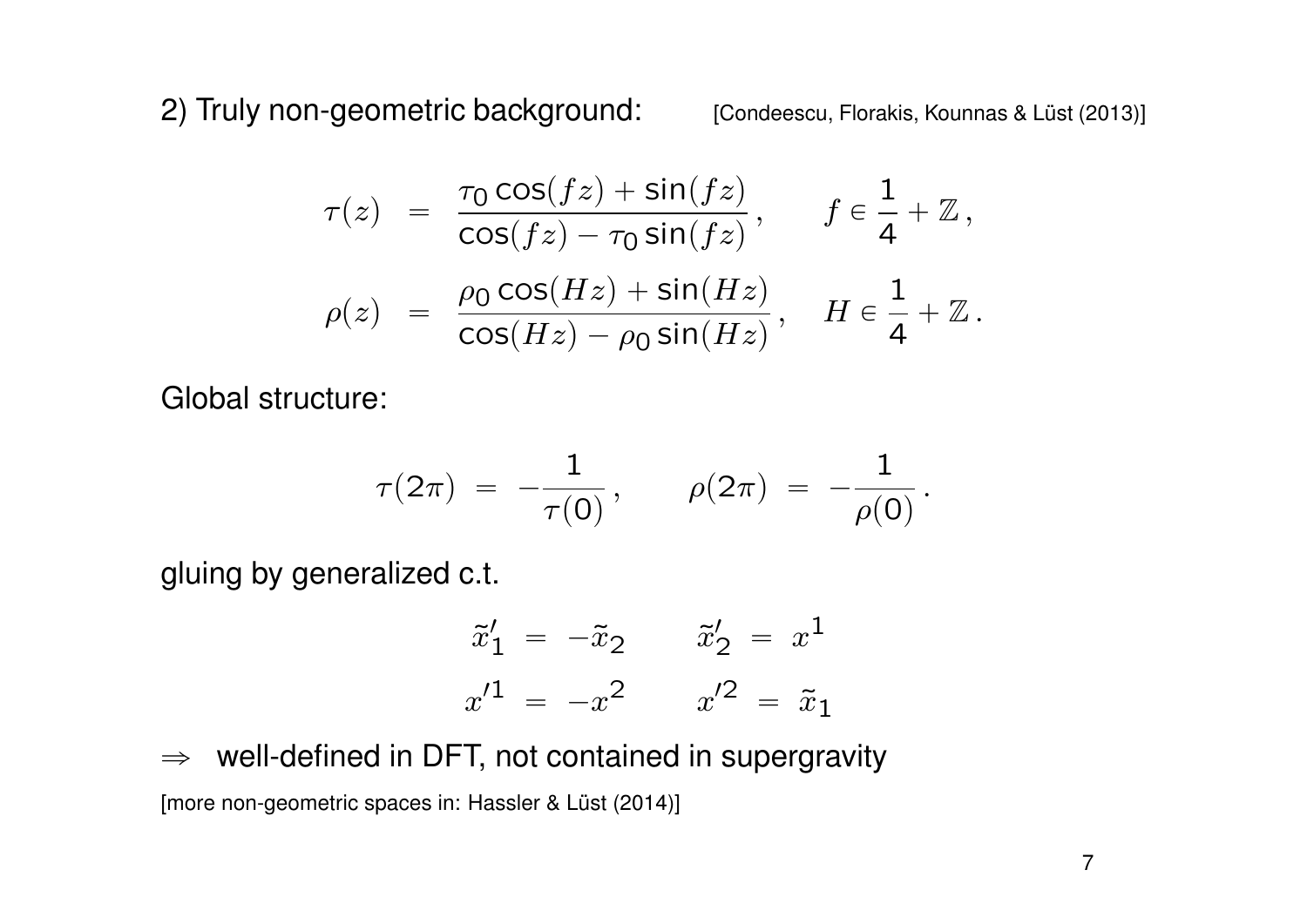2) Truly non-geometric background: [Condeescu, Florakis, Kounnas & Lüst (2013)]

$$
\tau(z) = \frac{\tau_0 \cos(fz) + \sin(fz)}{\cos(fz) - \tau_0 \sin(fz)}, \quad f \in \frac{1}{4} + \mathbb{Z},
$$
  

$$
\rho(z) = \frac{\rho_0 \cos(Hz) + \sin(Hz)}{\cos(Hz) - \rho_0 \sin(Hz)}, \quad H \in \frac{1}{4} + \mathbb{Z}.
$$

Global structure:

$$
\tau(2\pi) \;=\; -\frac{1}{\tau(0)}\,, \qquad \rho(2\pi) \;=\; -\frac{1}{\rho(0)}\,.
$$

gluing by generalized c.t.

$$
\tilde{x}'_1 = -\tilde{x}_2 \qquad \tilde{x}'_2 = x^1 \n x'^1 = -x^2 \qquad x'^2 = \tilde{x}_1
$$

 $\Rightarrow$  well-defined in DFT, not contained in supergravity

[more non-geometric spaces in: Hassler & Lüst (2014)]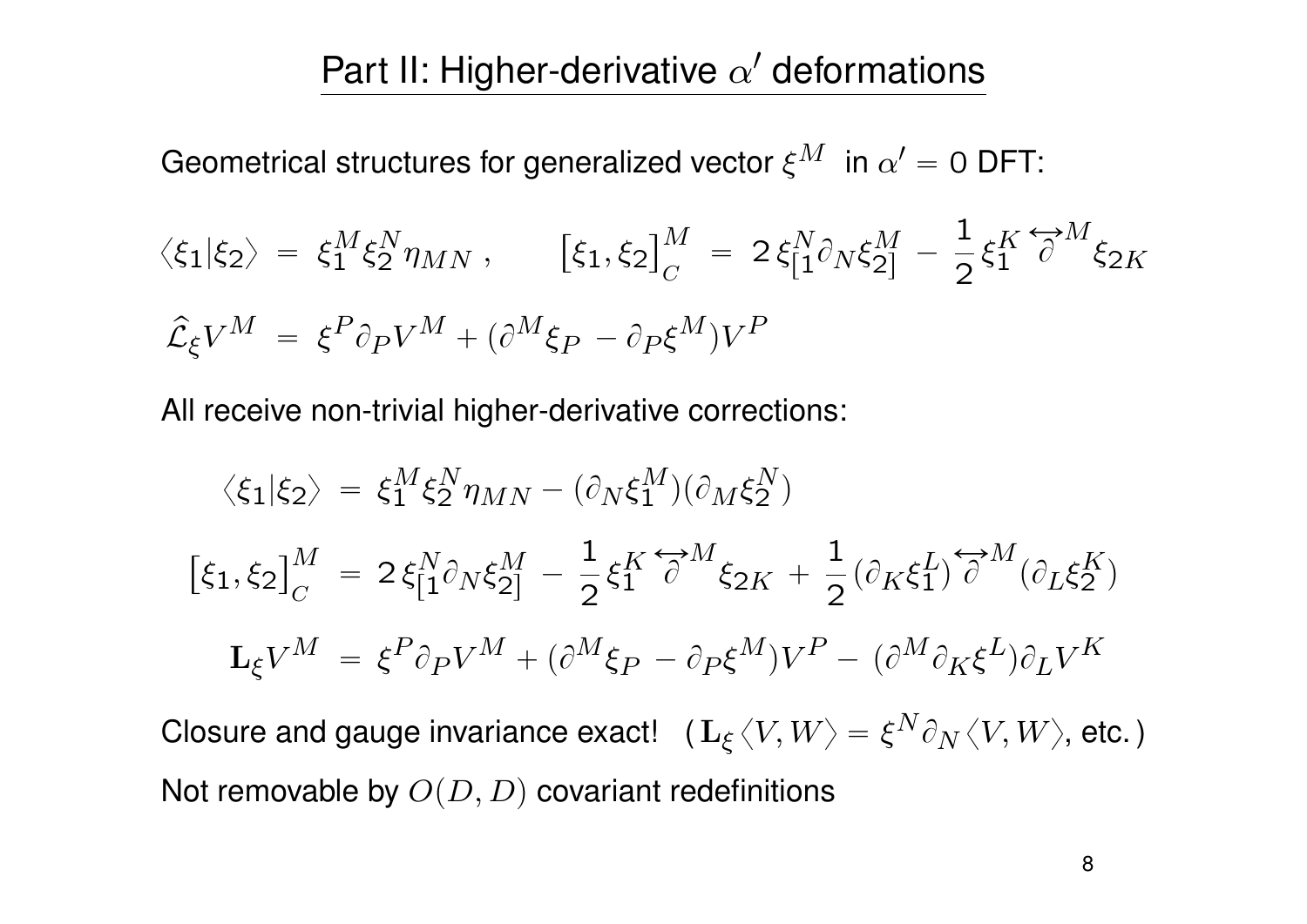### Part II: Higher-derivative  $\alpha'$  deformations

Geometrical structures for generalized vector  $\xi^M$   $\,$  in  $\alpha'=0$  DFT:

$$
\langle \xi_1 | \xi_2 \rangle = \xi_1^M \xi_2^N \eta_{MN}, \qquad [\xi_1, \xi_2]_C^M = 2 \xi_1^N \partial_N \xi_2^M - \frac{1}{2} \xi_1^K \overleftrightarrow{\partial}^M \xi_{2K}
$$
  

$$
\hat{\mathcal{L}}_{\xi} V^M = \xi^P \partial_P V^M + (\partial^M \xi_P - \partial_P \xi^M) V^P
$$

All receive non-trivial higher-derivative corrections:

$$
\langle \xi_1 | \xi_2 \rangle = \xi_1^M \xi_2^N \eta_{MN} - (\partial_N \xi_1^M)(\partial_M \xi_2^N)
$$
  

$$
[\xi_1, \xi_2]_C^M = 2 \xi_{[1}^N \partial_N \xi_{2]}^M - \frac{1}{2} \xi_1^K \overleftrightarrow{\partial}^M \xi_{2K} + \frac{1}{2} (\partial_K \xi_1^L) \overleftrightarrow{\partial}^M (\partial_L \xi_2^K)
$$
  

$$
\mathbf{L}_{\xi} V^M = \xi^P \partial_P V^M + (\partial^M \xi_P - \partial_P \xi^M) V^P - (\partial^M \partial_K \xi^L) \partial_L V^K
$$

Closure and gauge invariance exact!  $\ \ (\ {\bf L}_{\xi}\,\langle V,W\rangle=\xi^N\partial_N\,\langle V,W\rangle,$  etc. ) Not removable by  $O(D, D)$  covariant redefinitions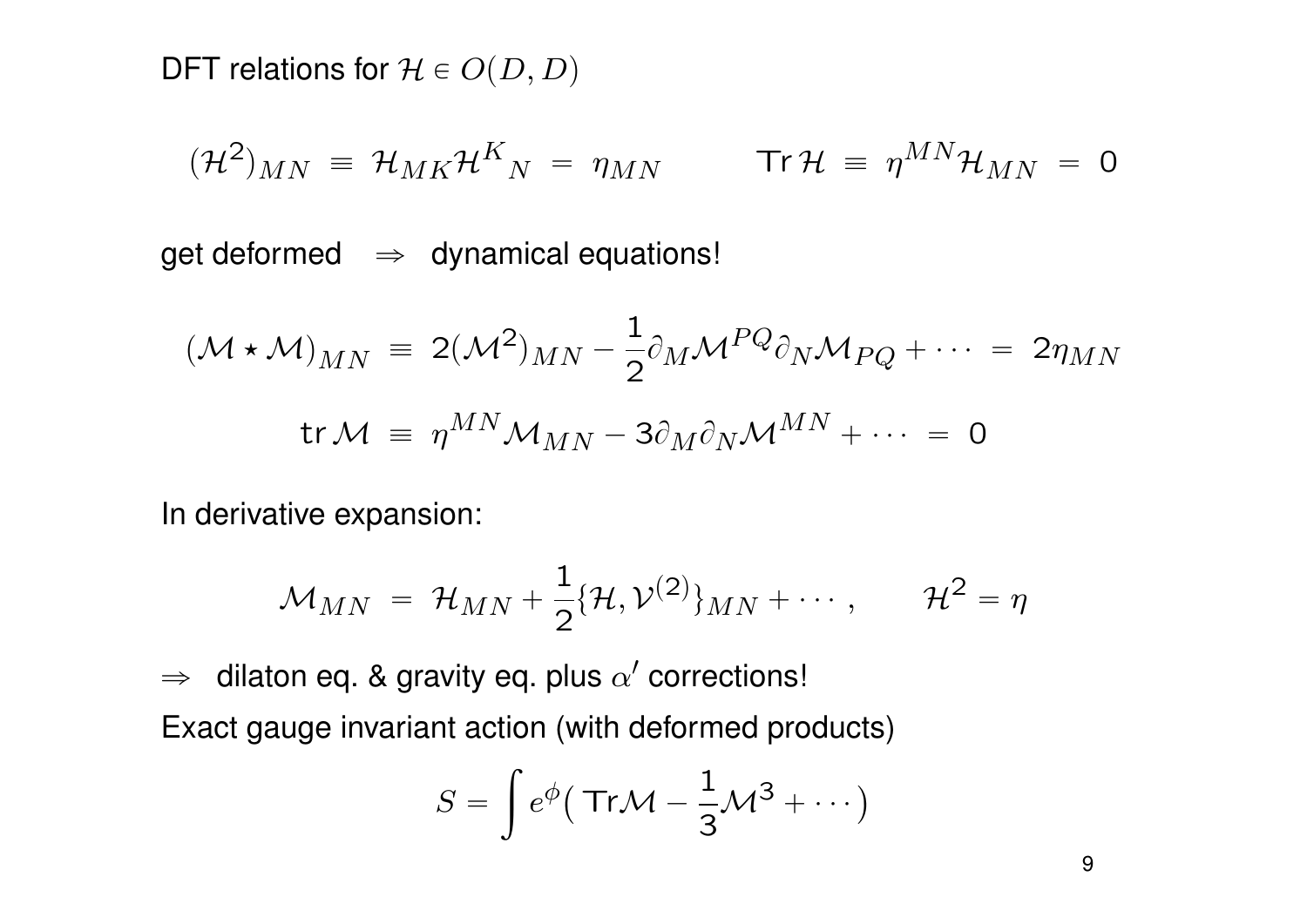DFT relations for  $\mathcal{H} \in O(D, D)$ 

$$
(\mathcal{H}^2)_{MN} \equiv \mathcal{H}_{MK} \mathcal{H}^K{}_N = \eta_{MN} \qquad \text{Tr}\,\mathcal{H} \equiv \eta^{MN} \mathcal{H}_{MN} = 0
$$

get deformed  $\Rightarrow$  dynamical equations!

$$
(\mathcal{M} \star \mathcal{M})_{MN} = 2(\mathcal{M}^2)_{MN} - \frac{1}{2} \partial_M \mathcal{M}^{PQ} \partial_N \mathcal{M}_{PQ} + \cdots = 2\eta_{MN}
$$
  
tr $\mathcal{M} \equiv \eta^{MN} \mathcal{M}_{MN} - 3\partial_M \partial_N \mathcal{M}^{MN} + \cdots = 0$ 

In derivative expansion:

$$
\mathcal{M}_{MN} = \mathcal{H}_{MN} + \frac{1}{2} \{\mathcal{H}, \mathcal{V}^{(2)}\}_{MN} + \cdots, \qquad \mathcal{H}^2 = \eta
$$

 $\Rightarrow$  dilaton eq. & gravity eq. plus  $\alpha'$  corrections! Exact gauge invariant action (with deformed products) ż

$$
S = \int e^{\phi} (\text{Tr}\mathcal{M} - \frac{1}{3}\mathcal{M}^3 + \cdots)
$$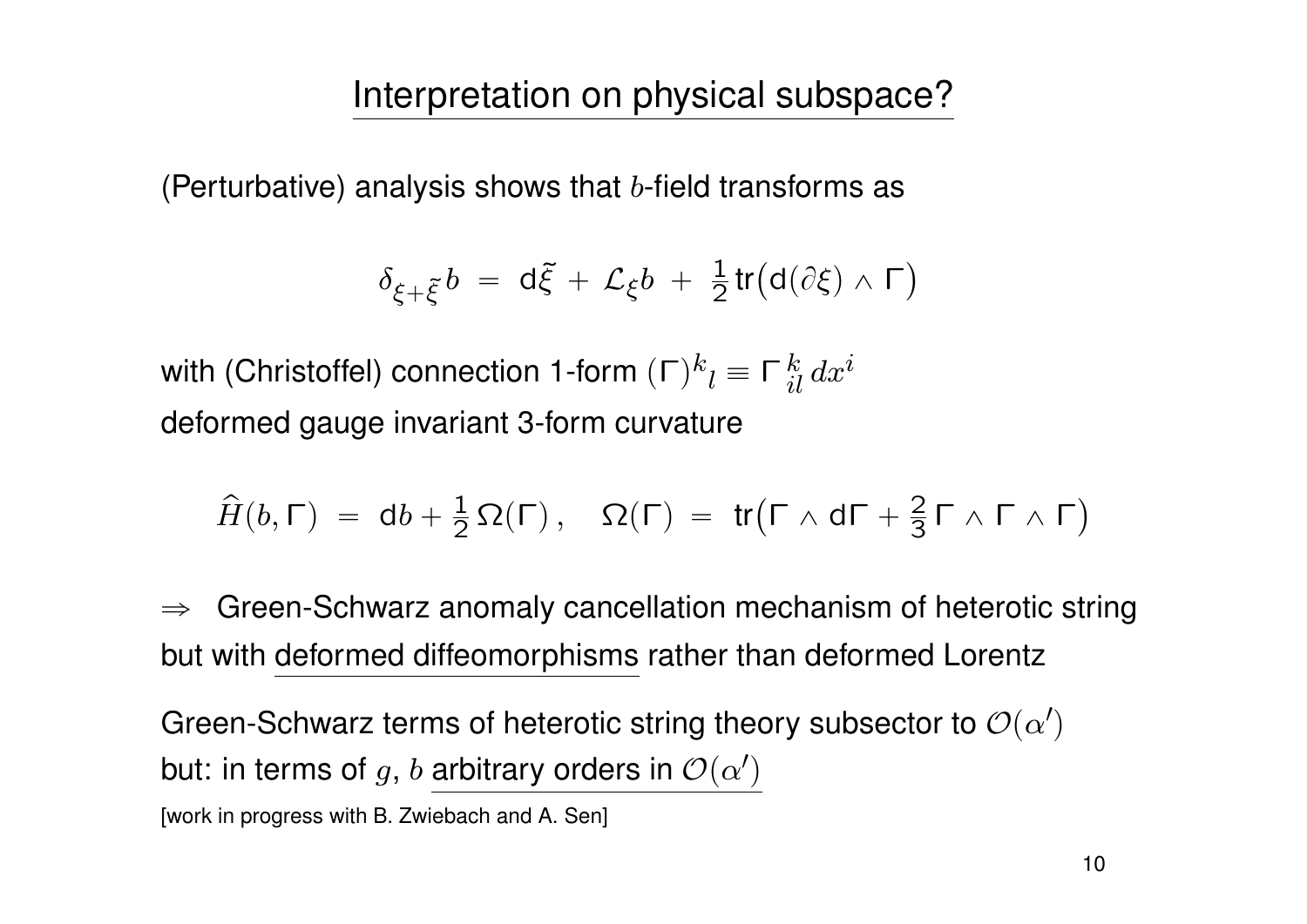(Perturbative) analysis shows that  $b$ -field transforms as

$$
\delta_{\xi+\tilde{\xi}}b = d\tilde{\xi} + \mathcal{L}_{\xi}b + \frac{1}{2}\text{tr}\big(d(\partial \xi) \wedge \Gamma\big)
$$

with (Christoffel) connection 1-form  $(\mathsf{\Gamma})^k{}_l \equiv \mathsf{\Gamma}^{\,k}_{\,il} \, dx^i$ deformed gauge invariant 3-form curvature

$$
\widehat{H}(b,\Gamma) = db + \frac{1}{2}\,\Omega(\Gamma)\,,\quad \Omega(\Gamma) = \text{tr}\big(\Gamma \wedge d\Gamma + \frac{2}{3}\Gamma \wedge \Gamma \wedge \Gamma\big)
$$

 $\Rightarrow$  Green-Schwarz anomaly cancellation mechanism of heterotic string but with deformed diffeomorphisms rather than deformed Lorentz

Green-Schwarz terms of heterotic string theory subsector to  ${\cal O}(\alpha')$ but: in terms of  $g, \, b$  arbitrary orders in  ${\cal O}(\alpha')$ 

[work in progress with B. Zwiebach and A. Sen]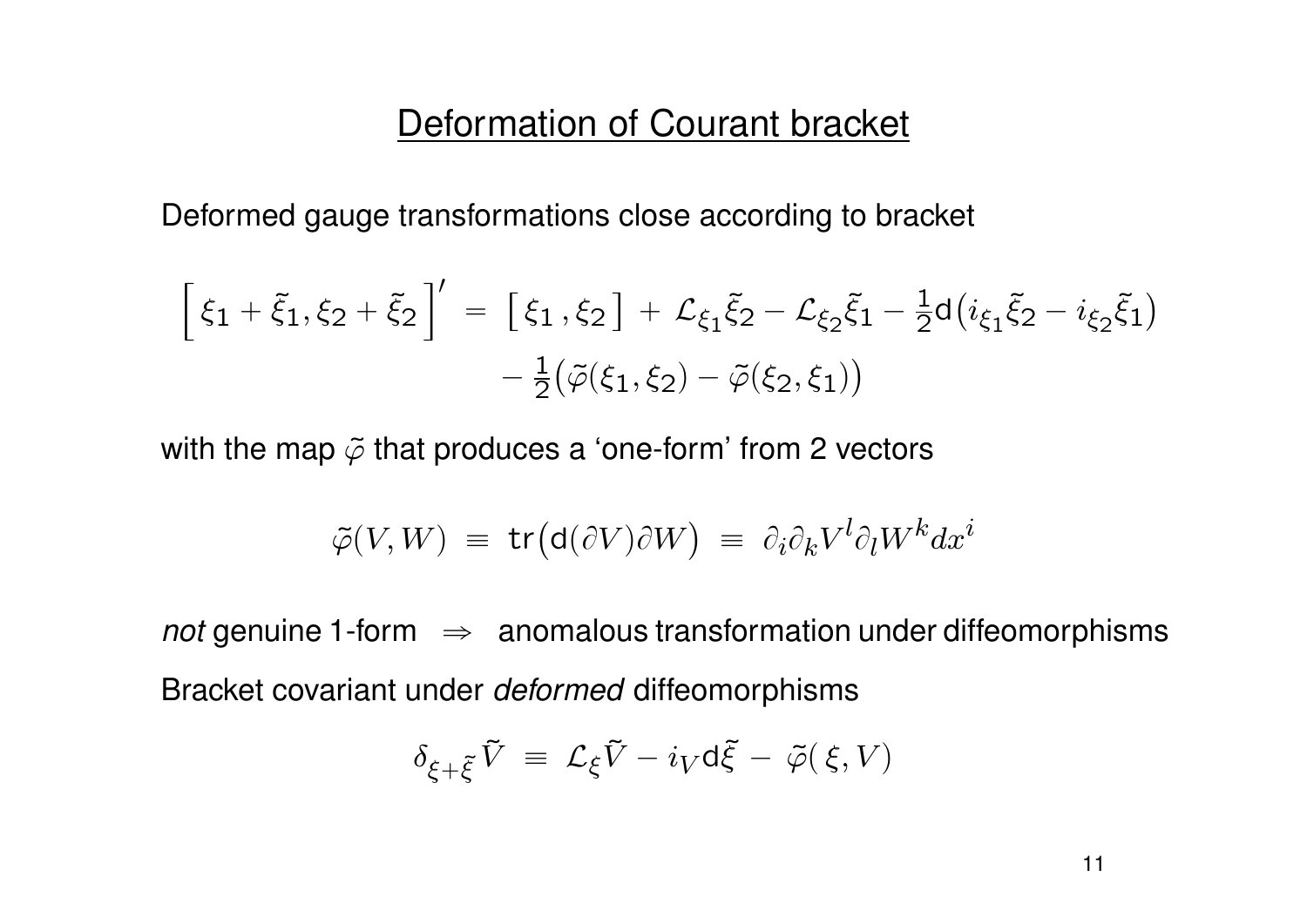#### Deformation of Courant bracket

Deformed gauge transformations close according to bracket

$$
\[ \xi_1 + \xi_1, \xi_2 + \xi_2 \] = \[ \xi_1, \xi_2 \] + \mathcal{L}_{\xi_1} \xi_2 - \mathcal{L}_{\xi_2} \xi_1 - \frac{1}{2} d \big( i_{\xi_1} \xi_2 - i_{\xi_2} \xi_1 \big) - \frac{1}{2} \big( \tilde{\varphi}(\xi_1, \xi_2) - \tilde{\varphi}(\xi_2, \xi_1) \big)
$$

with the map  $\tilde{\varphi}$  that produces a 'one-form' from 2 vectors

$$
\tilde{\varphi}(V, W) = \text{tr}(\text{d}(\partial V)\partial W) = \partial_i \partial_k V^l \partial_l W^k dx^i
$$

*not* genuine 1-form  $\Rightarrow$  anomalous transformation under diffeomorphisms Bracket covariant under *deformed* diffeomorphisms

$$
\delta_{\xi+\tilde{\xi}}\,\tilde{V}\ =\ \mathcal{L}_\xi\tilde{V}-i_V\mathrm{d}\tilde{\xi}\,-\,\tilde{\varphi}(\,\xi,V)
$$

11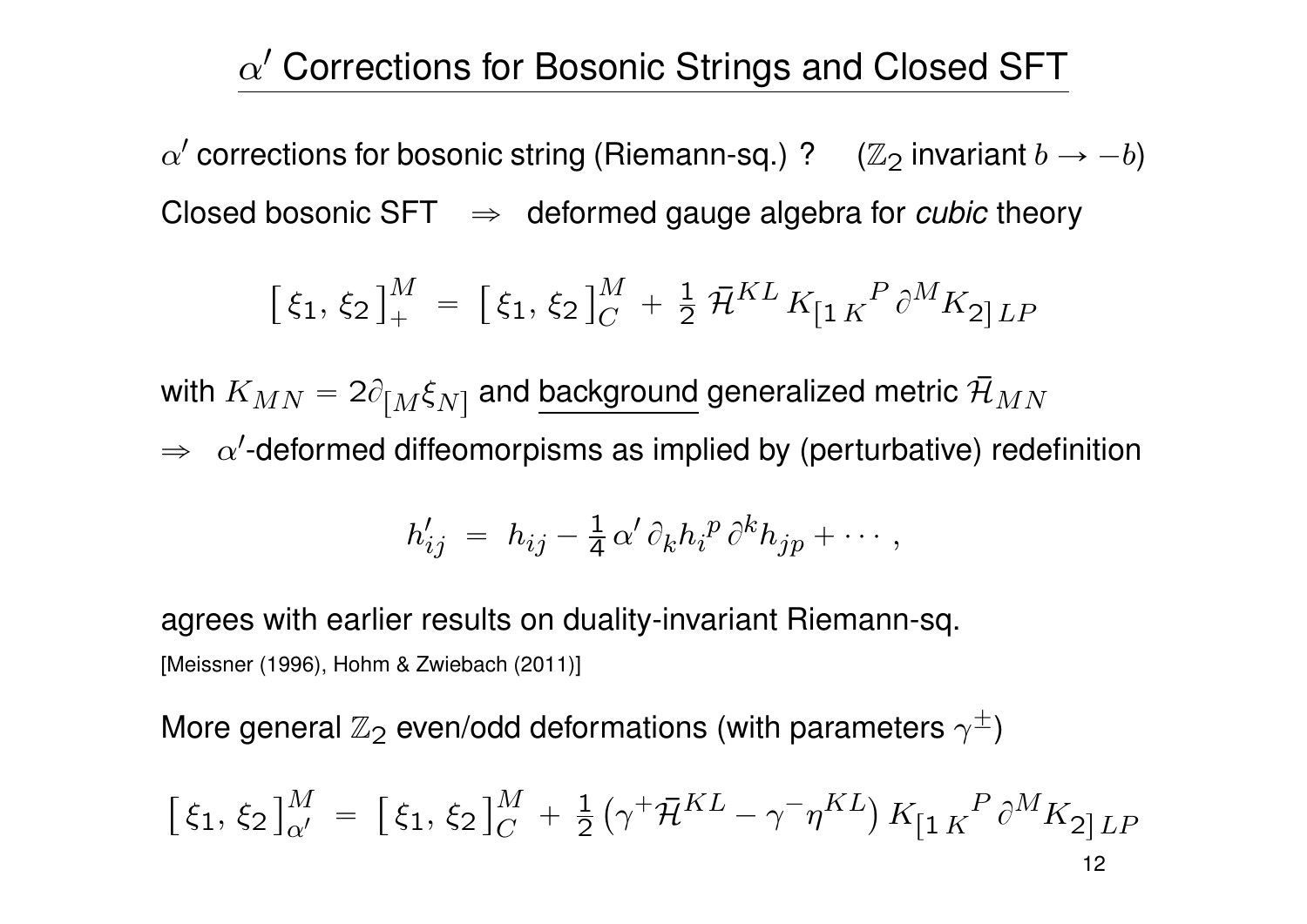## $\alpha'$  Corrections for Bosonic Strings and Closed SFT

 $\alpha'$  corrections for bosonic string (Riemann-sq.) ?  $\quad$  ( $\mathbb{Z}_2$  invariant  $b \rightarrow -b)$ Closed bosonic  $SFT \Rightarrow$  deformed gauge algebra for *cubic* theory

$$
\left[\,\xi_1,\,\xi_2\,\right]_+^M\;=\; \left[\,\xi_1,\,\xi_2\,\right]_C^M\;+\;\frac{1}{2}\;\bar{\mathcal{H}}^{KL}\,K_{\left[1\,K\right]}^{\quad P}\,\partial^MK_{2\left]LP}
$$

with  $K_{MN} = 2 \partial_{\left[ M \right. } \xi_{N\left. \right]}$  and <u>background</u> generalized metric  $\bar{\cal H}_{MN}$  $\Rightarrow \;\; \alpha'$ -deformed diffeomorpisms as implied by (perturbative) redefinition

$$
h'_{ij} = h_{ij} - \frac{1}{4} \alpha' \partial_k h_i^p \partial^k h_{jp} + \cdots,
$$

agrees with earlier results on duality-invariant Riemann-sq. [Meissner (1996), Hohm & Zwiebach (2011)]

More general  $\mathbb{Z}_2$  even/odd deformations (with parameters  $\gamma^{\pm})$ 

$$
\left[\xi_1, \xi_2\right]_{\alpha'}^M = \left[\xi_1, \xi_2\right]_{C}^M + \frac{1}{2} \left(\gamma^+ \bar{\mathcal{H}}^{KL} - \gamma^- \eta^{KL}\right) K_{\left[1\right]K}^P \partial^M K_{2\left]LP} \right]
$$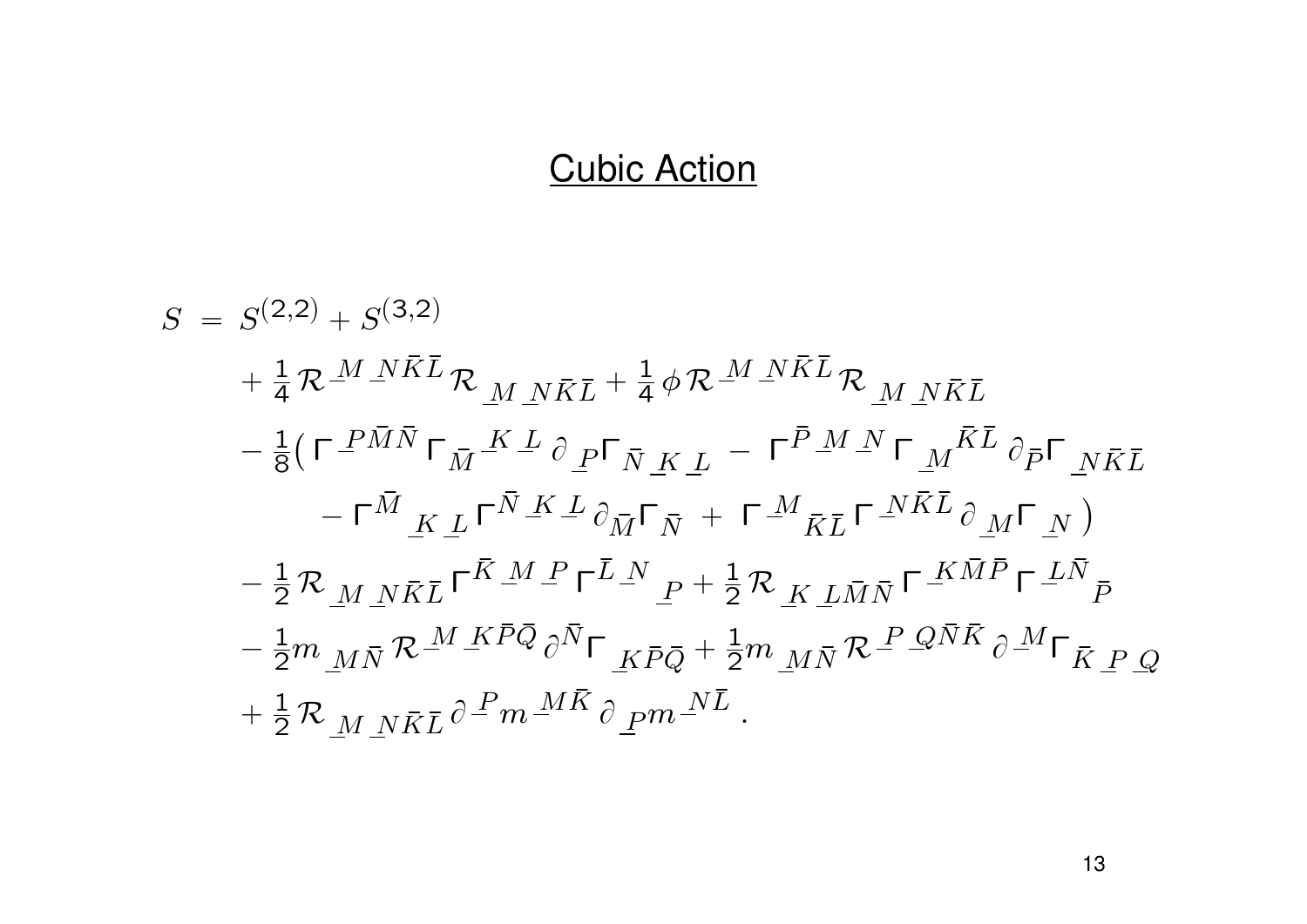### Cubic Action

$$
S = S^{(2,2)} + S^{(3,2)}
$$
  
\n
$$
+ \frac{1}{4} \mathcal{R}^{M} \mathbf{N} \bar{K} \bar{L} \mathcal{R}_{M} \mathbf{N} \bar{K} \bar{L} + \frac{1}{4} \phi \mathcal{R}^{M} \mathbf{N} \bar{K} \bar{L} \mathcal{R}_{M} \mathbf{N} \bar{K} \bar{L}
$$
  
\n
$$
- \frac{1}{8} \left( \Gamma \frac{P \bar{M} \bar{N}}{P} \Gamma_{\bar{M}} \frac{K}{L} \partial \rho \Gamma_{\bar{N}} \frac{K}{K} \underline{L} - \Gamma^{\bar{P}} \frac{M}{L} \mathbf{N} \Gamma \frac{K}{M} \partial \bar{p} \Gamma_{N} \bar{K} \underline{L} - \Gamma^{\bar{M}} \underline{K} \underline{L} \Gamma^{\bar{N}} \underline{K} \underline{L} \partial \bar{N} \Gamma_{\bar{N}} + \Gamma \frac{M}{K} \underline{L} \Gamma^{\bar{N} \bar{K} \bar{L}} \partial \underline{M} \Gamma \underline{N} \right)
$$
  
\n
$$
- \frac{1}{2} \mathcal{R}_{M} \mathbf{N} \bar{K} \bar{L} \Gamma^{\bar{K} M} \underline{P} \Gamma^{\bar{L} N} \underline{P} + \frac{1}{2} \mathcal{R}_{K} \underline{L} \bar{M} \bar{N} \Gamma^{\bar{K} \bar{M} \bar{P}} \Gamma^{\bar{L} \bar{N}} \underline{P} - \frac{1}{2} m_{M \bar{N}} \mathcal{R}^{M} \underline{K} \bar{P} \bar{Q} \partial \bar{N} \Gamma \underline{K} \bar{P} \bar{Q} + \frac{1}{2} m_{M \bar{N}} \mathcal{R}^{\bar{P}} \mathcal{Q} \bar{N} \bar{K} \partial \underline{M} \Gamma_{\bar{K} P Q} + \frac{1}{2} \mathcal{R}_{M} \underline{N} \underline{K} \bar{L} \partial \underline{P} m^{\bar{M} \bar{K}} \partial \underline{P} m^{\bar{N} \bar{L}}.
$$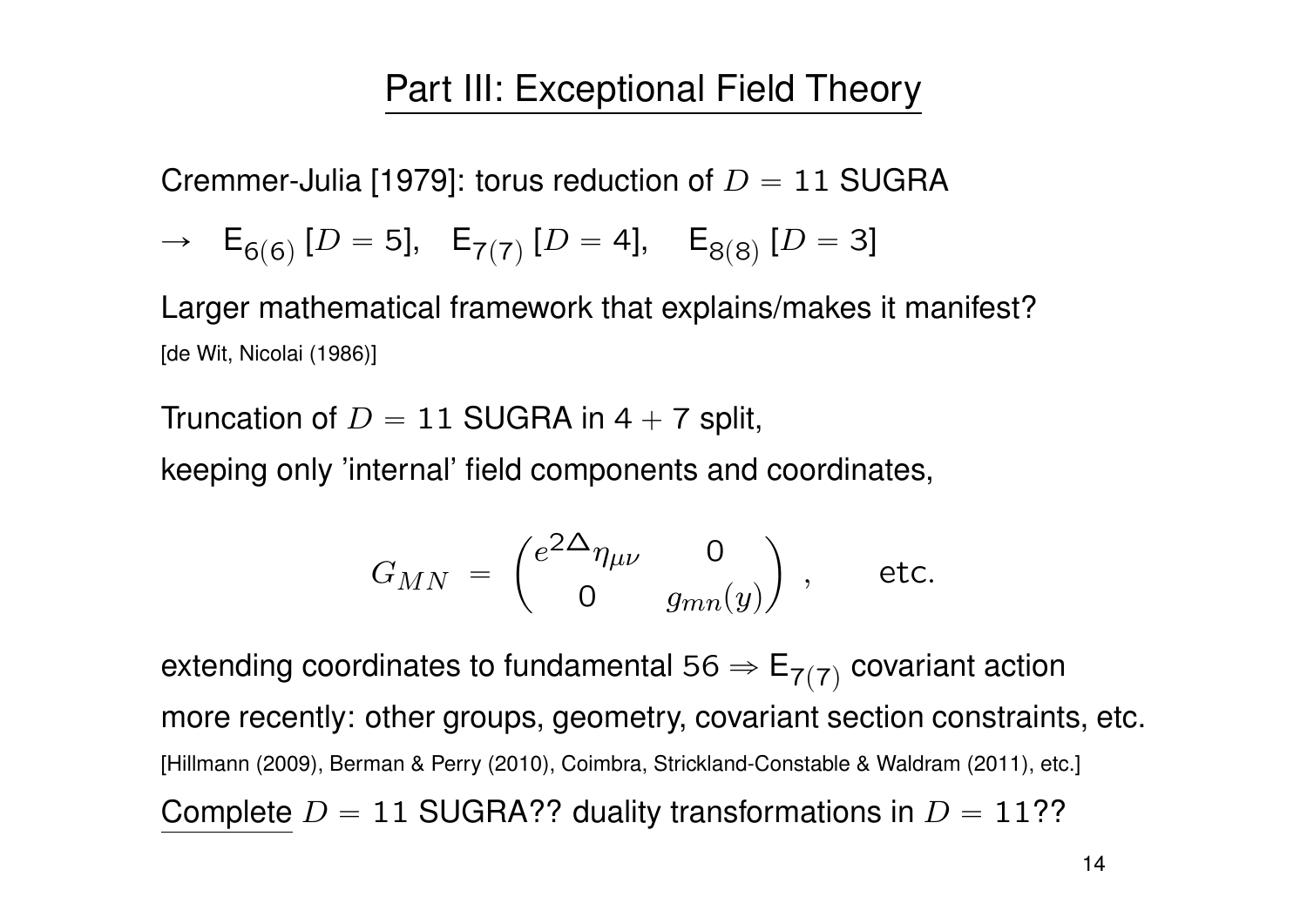### Part III: Exceptional Field Theory

Cremmer-Julia [1979]: torus reduction of  $D = 11$  SUGRA

$$
\rightarrow \quad \mathsf{E}_{6(6)} \left[ D = 5 \right], \quad \mathsf{E}_{7(7)} \left[ D = 4 \right], \quad \mathsf{E}_{8(8)} \left[ D = 3 \right]
$$

Larger mathematical framework that explains/makes it manifest? [de Wit, Nicolai (1986)]

Truncation of  $D = 11$  SUGRA in 4 + 7 split,

keeping only 'internal' field components and coordinates,

$$
G_{MN} = \begin{pmatrix} e^{2\Delta} \eta_{\mu\nu} & 0 \\ 0 & g_{mn}(y) \end{pmatrix}, \text{ etc.}
$$

extending coordinates to fundamental 56  $\Rightarrow$   $\mathsf{E}_{7(7)}$  covariant action more recently: other groups, geometry, covariant section constraints, etc. [Hillmann (2009), Berman & Perry (2010), Coimbra, Strickland-Constable & Waldram (2011), etc.] Complete  $D = 11$  SUGRA?? duality transformations in  $D = 11$ ??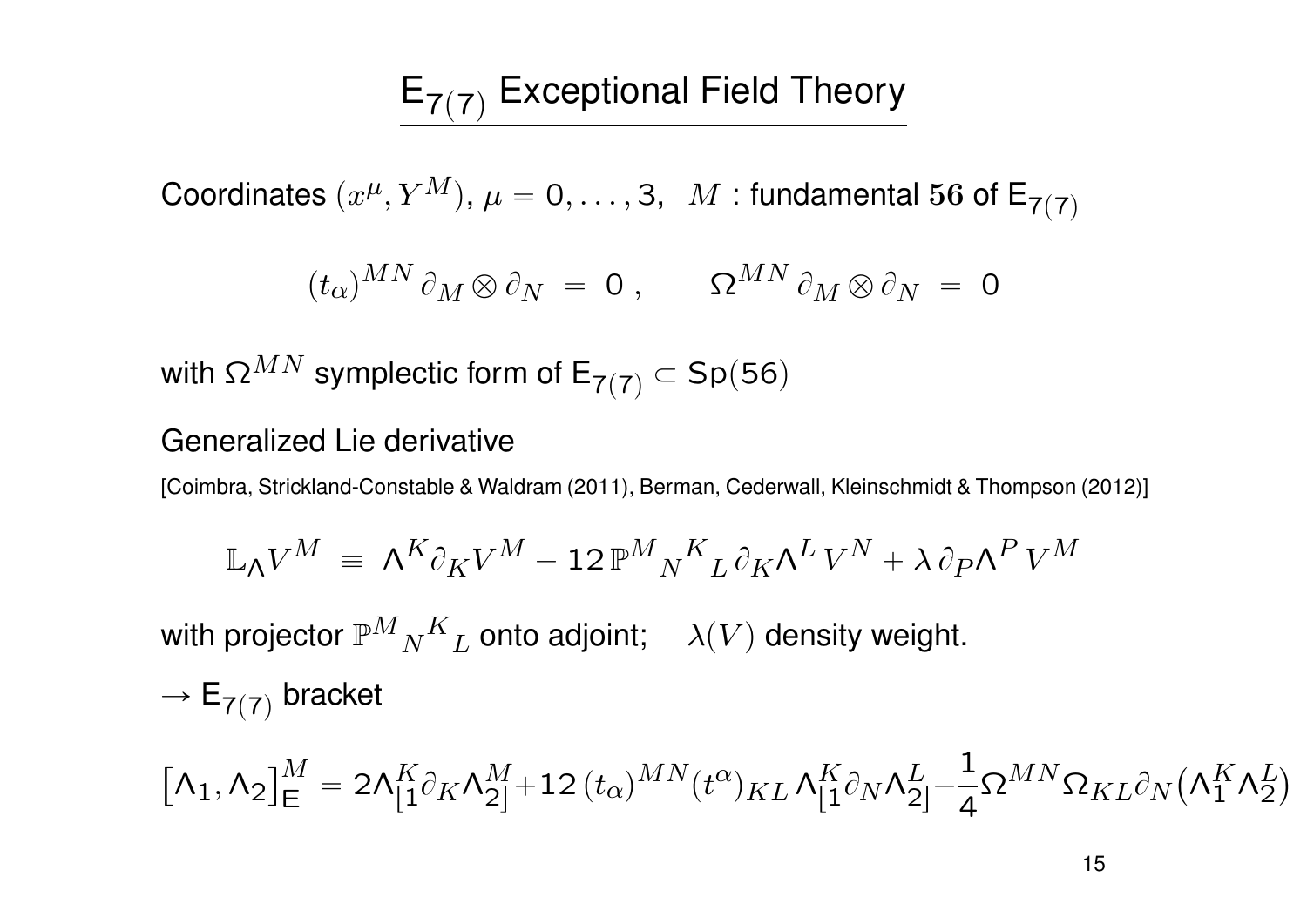# $E_{7(7)}$  Exceptional Field Theory

Coordinates  $(x^\mu, Y^M),\, \mu = 0, \ldots, 3, \; \; M$  : fundamental 56 of  $\mathsf{E}_{7(7)}$ 

$$
(t_{\alpha})^{MN} \partial_M \otimes \partial_N = 0 , \qquad \Omega^{MN} \partial_M \otimes \partial_N = 0
$$

with  $\Omega^{MN}$  symplectic form of  $E_{7(7)}$   $\subset$  Sp(56)

#### Generalized Lie derivative

[Coimbra, Strickland-Constable & Waldram (2011), Berman, Cederwall, Kleinschmidt & Thompson (2012)]

$$
\mathbb{L}_{\Lambda} V^M \ = \ \Lambda^K \partial_K V^M - 12 \, \mathbb{P}^M{}_N{}^K{}_L \, \partial_K \Lambda^L \, V^N + \lambda \, \partial_P \Lambda^P \, V^M
$$

with projector  $\mathbb{P}^M{}_N$  ${}^K{}_L$  onto adjoint;  $\quad \lambda(V)$  density weight.

$$
\rightarrow \mathsf{E}_{7(7)}\text{ bracket}
$$

$$
\left[\Lambda_1,\Lambda_2\right]^M_E=2\Lambda^K_{[1}\partial_K\Lambda^M_{2]}+12\,(t_{\alpha})^{MN}(t^{\alpha})_{KL}\,\Lambda^K_{[1}\partial_N\Lambda^L_{2]}-\frac{1}{4}\Omega^{MN}\Omega_{KL}\partial_N\big(\Lambda^K_1\Lambda^L_2\big)
$$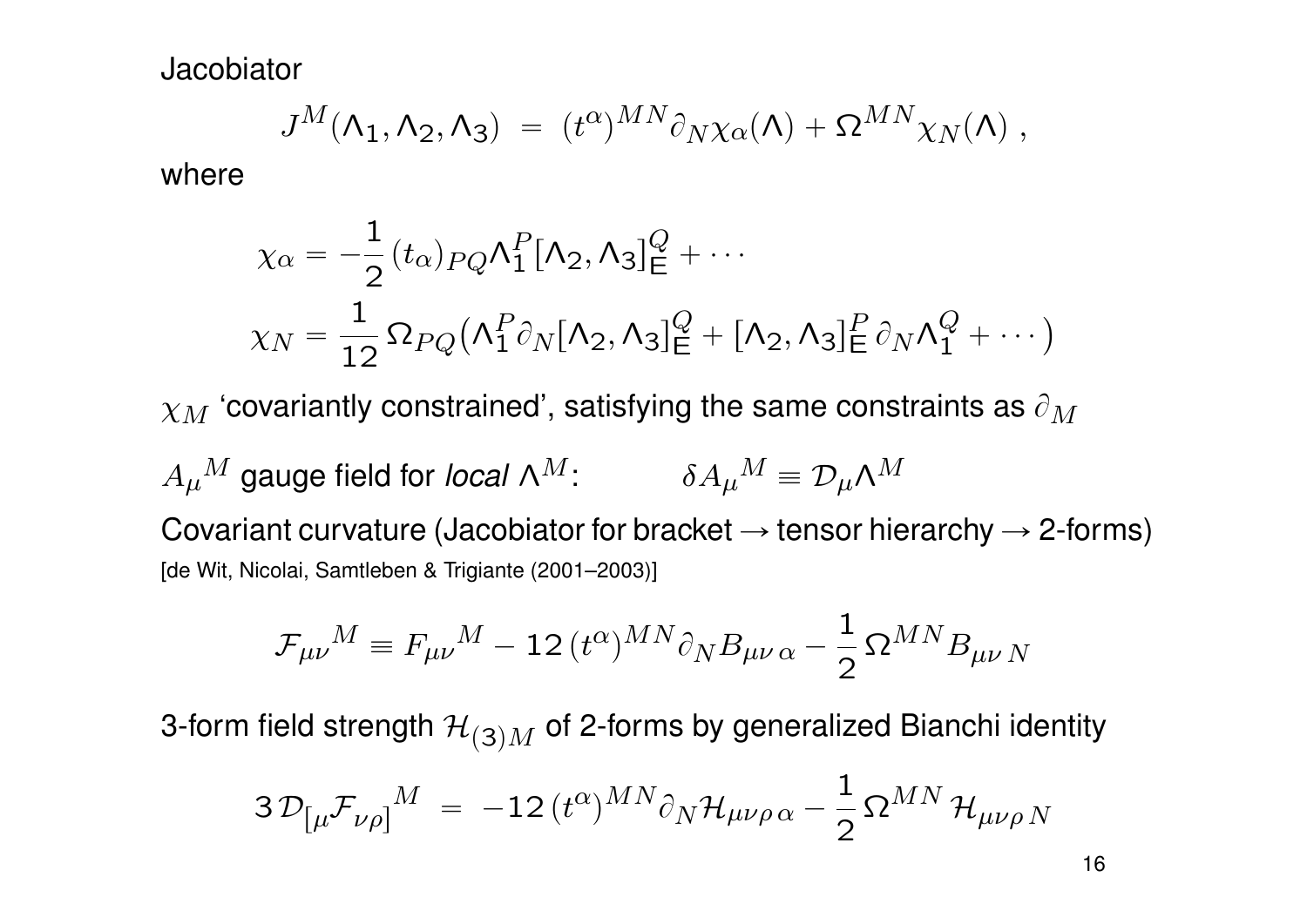**Jacobiator** 

$$
J^M(\Lambda_1, \Lambda_2, \Lambda_3) = (t^{\alpha})^{MN} \partial_N \chi_{\alpha}(\Lambda) + \Omega^{MN} \chi_N(\Lambda) ,
$$

where

$$
\chi_{\alpha} = -\frac{1}{2} (t_{\alpha})_{PQ} \Lambda_1^P [\Lambda_2, \Lambda_3]_{\mathsf{E}}^Q + \cdots
$$

$$
\chi_N = \frac{1}{12} \Omega_{PQ} (\Lambda_1^P \partial_N [\Lambda_2, \Lambda_3]_{\mathsf{E}}^Q + [\Lambda_2, \Lambda_3]_{\mathsf{E}}^P \partial_N \Lambda_1^Q + \cdots)
$$

 $\chi_M$  'covariantly constrained', satisfying the same constraints as  $\partial_M$ 

 $A_\mu{}^M$  gauge field for *local N* $^M$ :  $\qquad \delta A_\mu{}^M \equiv {\cal D}_\mu {\cal A}^M$ Covariant curvature (Jacobiator for bracket  $\rightarrow$  tensor hierarchy  $\rightarrow$  2-forms) [de Wit, Nicolai, Samtleben & Trigiante (2001–2003)]

$$
\mathcal{F}_{\mu\nu}{}^M \equiv F_{\mu\nu}{}^M - 12\, (t^\alpha)^{MN} \partial_N B_{\mu\nu\,\alpha} - \frac{1}{2}\,\Omega^{MN} B_{\mu\nu\,N}
$$

3-form field strength  $\mathcal{H}_{(3)M}$  of 2-forms by generalized Bianchi identity

$$
3\,\mathcal{D}_{\left[\mu\mathcal{F}_{\nu\rho}\right]}{}^{M} \;=\; -12\,(t^{\alpha})^{MN}\partial_{N}\mathcal{H}_{\mu\nu\rho\,\alpha} - \frac{1}{2}\,\Omega^{MN}\,\mathcal{H}_{\mu\nu\rho\,N}
$$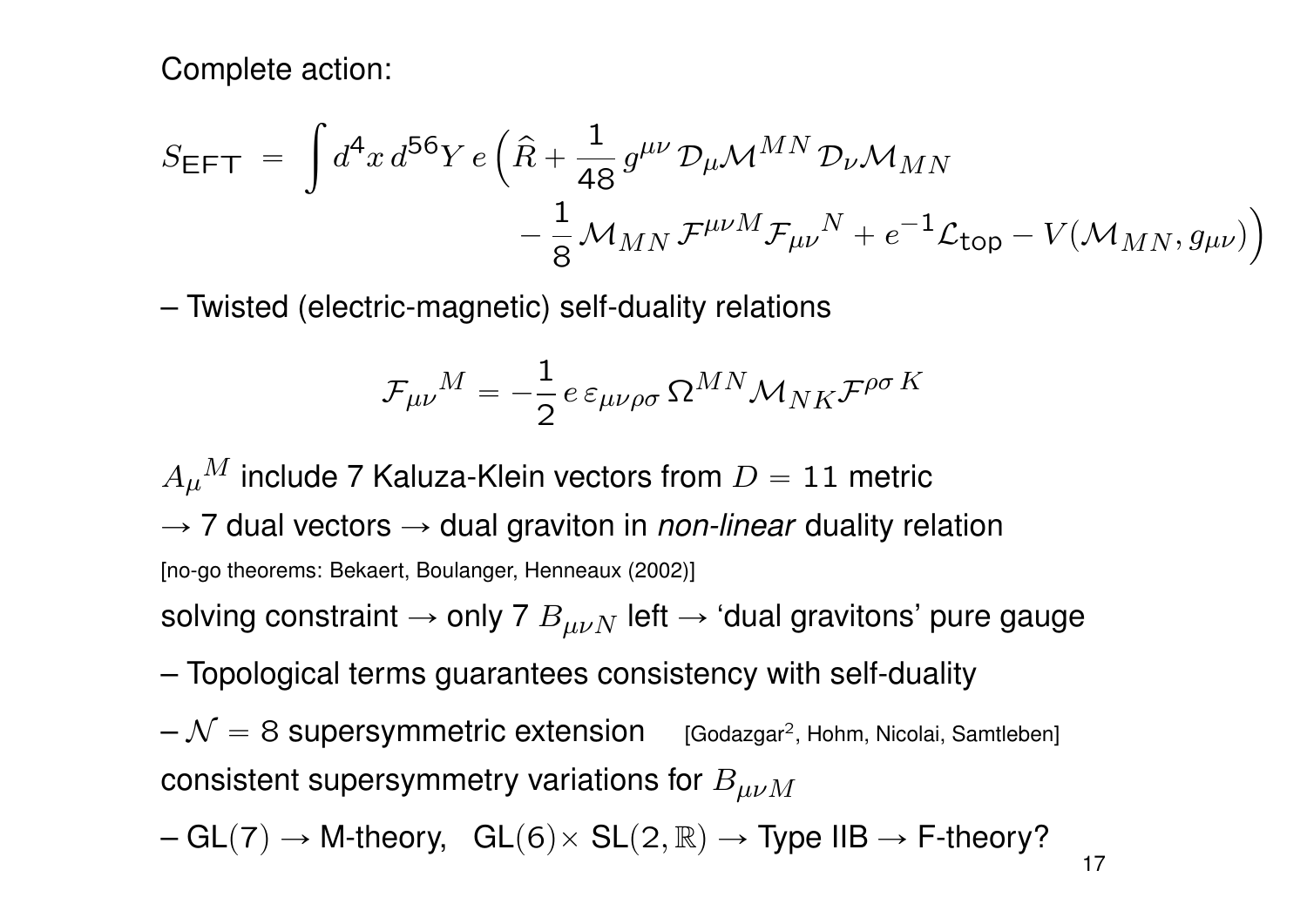Complete action:

$$
S_{\text{EFT}} = \int d^4x \, d^{56}Y \, e \left( \hat{R} + \frac{1}{48} g^{\mu\nu} \mathcal{D}_{\mu} \mathcal{M}^{MN} \mathcal{D}_{\nu} \mathcal{M}_{MN} - \frac{1}{8} \mathcal{M}_{MN} \mathcal{F}^{\mu\nu M} \mathcal{F}_{\mu\nu}{}^{N} + e^{-1} \mathcal{L}_{\text{top}} - V(\mathcal{M}_{MN}, g_{\mu\nu}) \right)
$$

– Twisted (electric-magnetic) self-duality relations

$$
\mathcal{F}_{\mu\nu}{}^M = -\frac{1}{2}\,e\,\varepsilon_{\mu\nu\rho\sigma}\,\Omega^{MN} \mathcal{M}_{NK} \mathcal{F}^{\rho\sigma\,K}
$$

 $A_{\mu}{}^M$  include 7 Kaluza-Klein vectors from  $D=11$  metric  $\rightarrow$  7 dual vectors  $\rightarrow$  dual graviton in *non-linear* duality relation [no-go theorems: Bekaert, Boulanger, Henneaux (2002)]

solving constraint  $\rightarrow$  only 7  $B_{\mu\nu N}$  left  $\rightarrow$  'dual gravitons' pure gauge

– Topological terms guarantees consistency with self-duality

 ${\cal N}=8\,$  Supersymmetric extension  $^{1}$  [Godazgar<sup>2</sup>, Hohm, Nicolai, Samtleben] consistent supersymmetry variations for  $B_{\mu\nu M}$ 

 $-GL(7) \rightarrow M$ -theory,  $GL(6)\times SL(2,\mathbb{R}) \rightarrow Type IIB \rightarrow F$ -theory?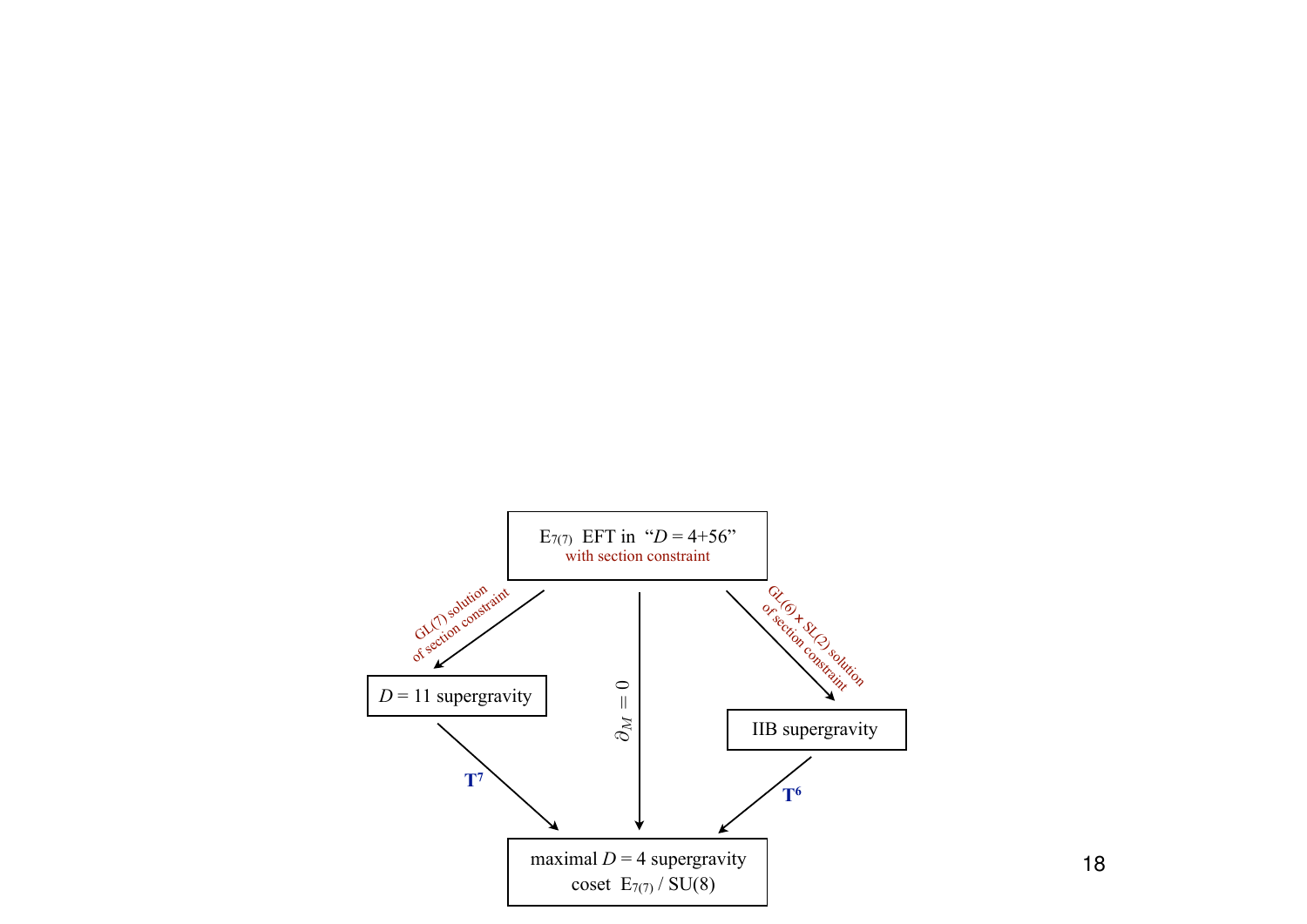